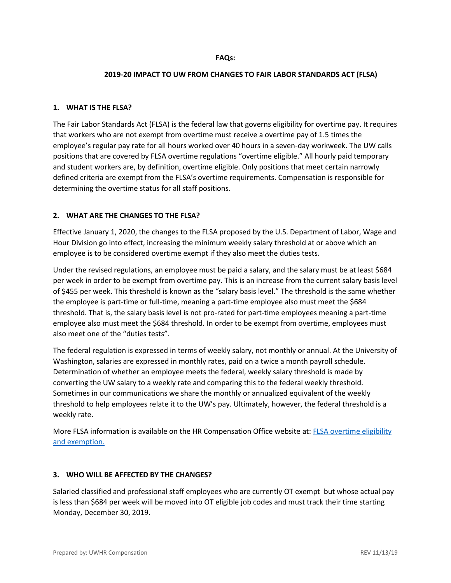### **FAQs:**

#### **2019-20 IMPACT TO UW FROM CHANGES TO FAIR LABOR STANDARDS ACT (FLSA)**

#### **1. WHAT IS THE FLSA?**

The Fair Labor Standards Act (FLSA) is the federal law that governs eligibility for overtime pay. It requires that workers who are not exempt from overtime must receive a overtime pay of 1.5 times the employee's regular pay rate for all hours worked over 40 hours in a seven-day workweek. The UW calls positions that are covered by FLSA overtime regulations "overtime eligible." All hourly paid temporary and student workers are, by definition, overtime eligible. Only positions that meet certain narrowly defined criteria are exempt from the FLSA's overtime requirements. Compensation is responsible for determining the overtime status for all staff positions.

### **2. WHAT ARE THE CHANGES TO THE FLSA?**

Effective January 1, 2020, the changes to the FLSA proposed by the U.S. Department of Labor, Wage and Hour Division go into effect, increasing the minimum weekly salary threshold at or above which an employee is to be considered overtime exempt if they also meet the duties tests.

Under the revised regulations, an employee must be paid a salary, and the salary must be at least \$684 per week in order to be exempt from overtime pay. This is an increase from the current salary basis level of \$455 per week. This threshold is known as the "salary basis level." The threshold is the same whether the employee is part-time or full-time, meaning a part-time employee also must meet the \$684 threshold. That is, the salary basis level is not pro-rated for part-time employees meaning a part-time employee also must meet the \$684 threshold. In order to be exempt from overtime, employees must also meet one of the "duties tests".

The federal regulation is expressed in terms of weekly salary, not monthly or annual. At the University of Washington, salaries are expressed in monthly rates, paid on a twice a month payroll schedule. Determination of whether an employee meets the federal, weekly salary threshold is made by converting the UW salary to a weekly rate and comparing this to the federal weekly threshold. Sometimes in our communications we share the monthly or annualized equivalent of the weekly threshold to help employees relate it to the UW's pay. Ultimately, however, the federal threshold is a weekly rate.

More FLSA information is available on the HR Compensation Office website at: [FLSA overtime eligibility](https://hr.uw.edu/comp/overtime-for-non-academic-staff/flsa-overtime-eligibility-and-exemption/)  [and exemption.](https://hr.uw.edu/comp/overtime-for-non-academic-staff/flsa-overtime-eligibility-and-exemption/)

#### **3. WHO WILL BE AFFECTED BY THE CHANGES?**

Salaried classified and professional staff employees who are currently OT exempt but whose actual pay is less than \$684 per week will be moved into OT eligible job codes and must track their time starting Monday, December 30, 2019.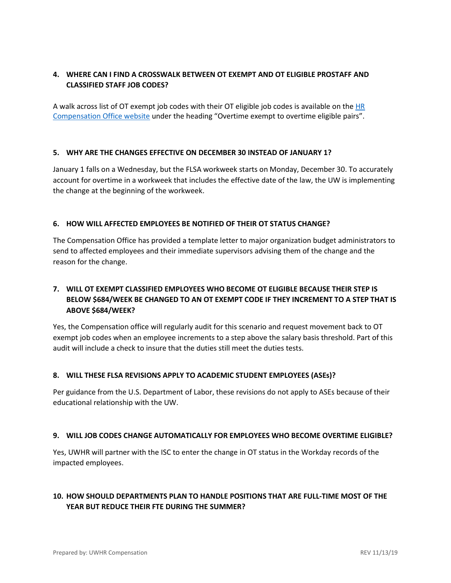## **4. WHERE CAN I FIND A CROSSWALK BETWEEN OT EXEMPT AND OT ELIGIBLE PROSTAFF AND CLASSIFIED STAFF JOB CODES?**

A walk across list of OT exempt job codes with their OT eligible job codes is available on the [HR](https://hr.uw.edu/comp/overtime-for-non-academic-staff/flsa-overtime-eligibility-and-exemption/)  [Compensation Office website](https://hr.uw.edu/comp/overtime-for-non-academic-staff/flsa-overtime-eligibility-and-exemption/) under the heading "Overtime exempt to overtime eligible pairs".

### **5. WHY ARE THE CHANGES EFFECTIVE ON DECEMBER 30 INSTEAD OF JANUARY 1?**

January 1 falls on a Wednesday, but the FLSA workweek starts on Monday, December 30. To accurately account for overtime in a workweek that includes the effective date of the law, the UW is implementing the change at the beginning of the workweek.

### **6. HOW WILL AFFECTED EMPLOYEES BE NOTIFIED OF THEIR OT STATUS CHANGE?**

The Compensation Office has provided a template letter to major organization budget administrators to send to affected employees and their immediate supervisors advising them of the change and the reason for the change.

# **7. WILL OT EXEMPT CLASSIFIED EMPLOYEES WHO BECOME OT ELIGIBLE BECAUSE THEIR STEP IS BELOW \$684/WEEK BE CHANGED TO AN OT EXEMPT CODE IF THEY INCREMENT TO A STEP THAT IS ABOVE \$684/WEEK?**

Yes, the Compensation office will regularly audit for this scenario and request movement back to OT exempt job codes when an employee increments to a step above the salary basis threshold. Part of this audit will include a check to insure that the duties still meet the duties tests.

#### **8. WILL THESE FLSA REVISIONS APPLY TO ACADEMIC STUDENT EMPLOYEES (ASEs)?**

Per guidance from the U.S. Department of Labor, these revisions do not apply to ASEs because of their educational relationship with the UW.

#### **9. WILL JOB CODES CHANGE AUTOMATICALLY FOR EMPLOYEES WHO BECOME OVERTIME ELIGIBLE?**

Yes, UWHR will partner with the ISC to enter the change in OT status in the Workday records of the impacted employees.

# **10. HOW SHOULD DEPARTMENTS PLAN TO HANDLE POSITIONS THAT ARE FULL-TIME MOST OF THE YEAR BUT REDUCE THEIR FTE DURING THE SUMMER?**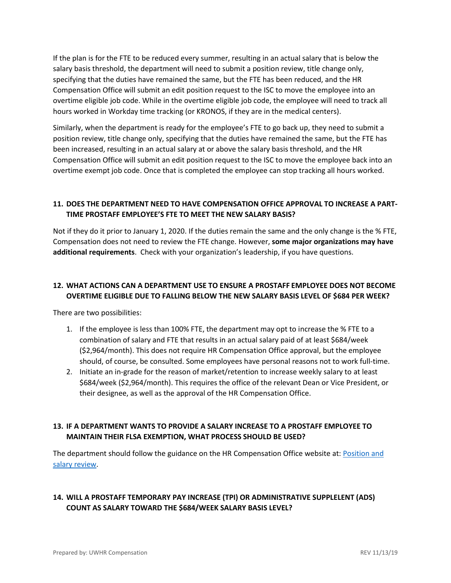If the plan is for the FTE to be reduced every summer, resulting in an actual salary that is below the salary basis threshold, the department will need to submit a position review, title change only, specifying that the duties have remained the same, but the FTE has been reduced, and the HR Compensation Office will submit an edit position request to the ISC to move the employee into an overtime eligible job code. While in the overtime eligible job code, the employee will need to track all hours worked in Workday time tracking (or KRONOS, if they are in the medical centers).

Similarly, when the department is ready for the employee's FTE to go back up, they need to submit a position review, title change only, specifying that the duties have remained the same, but the FTE has been increased, resulting in an actual salary at or above the salary basis threshold, and the HR Compensation Office will submit an edit position request to the ISC to move the employee back into an overtime exempt job code. Once that is completed the employee can stop tracking all hours worked.

# **11. DOES THE DEPARTMENT NEED TO HAVE COMPENSATION OFFICE APPROVAL TO INCREASE A PART-TIME PROSTAFF EMPLOYEE'S FTE TO MEET THE NEW SALARY BASIS?**

Not if they do it prior to January 1, 2020. If the duties remain the same and the only change is the % FTE, Compensation does not need to review the FTE change. However, **some major organizations may have additional requirements**. Check with your organization's leadership, if you have questions.

## **12. WHAT ACTIONS CAN A DEPARTMENT USE TO ENSURE A PROSTAFF EMPLOYEE DOES NOT BECOME OVERTIME ELIGIBLE DUE TO FALLING BELOW THE NEW SALARY BASIS LEVEL OF \$684 PER WEEK?**

There are two possibilities:

- 1. If the employee is less than 100% FTE, the department may opt to increase the % FTE to a combination of salary and FTE that results in an actual salary paid of at least \$684/week (\$2,964/month). This does not require HR Compensation Office approval, but the employee should, of course, be consulted. Some employees have personal reasons not to work full-time.
- 2. Initiate an in-grade for the reason of market/retention to increase weekly salary to at least \$684/week (\$2,964/month). This requires the office of the relevant Dean or Vice President, or their designee, as well as the approval of the HR Compensation Office.

### **13. IF A DEPARTMENT WANTS TO PROVIDE A SALARY INCREASE TO A PROSTAFF EMPLOYEE TO MAINTAIN THEIR FLSA EXEMPTION, WHAT PROCESS SHOULD BE USED?**

The department should follow the guidance on the HR Compensation Office website at: [Position and](https://hr.uw.edu/comp/professional-staff/position-and-salary-review/)  [salary review.](https://hr.uw.edu/comp/professional-staff/position-and-salary-review/)

## **14. WILL A PROSTAFF TEMPORARY PAY INCREASE (TPI) OR ADMINISTRATIVE SUPPLELENT (ADS) COUNT AS SALARY TOWARD THE \$684/WEEK SALARY BASIS LEVEL?**